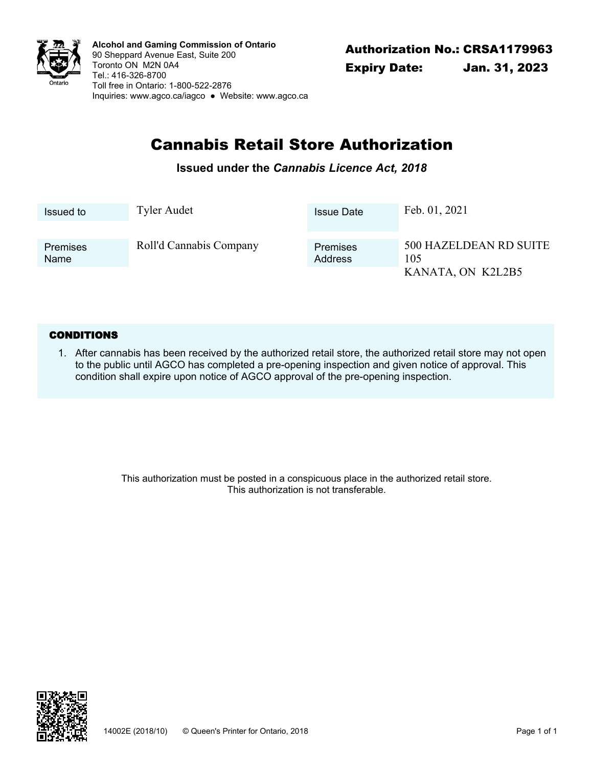

Authorization No.: CRSA1179963 **Alcohol and Gaming Commission of Ontario** 90 Sheppard Avenue East, Suite 200 Toronto ON M2N 0A4 Tel.: 416-326-8700 Toll free in Ontario: 1-800-522-2876 Inquiries: <www.agco.ca/iagco> ● Website: <www.agco.ca>

# Cannabis Retail Store Authorization

### **Issued under the** *Cannabis Licence Act, 2018*

| Issued to   | Tyler Audet             | <b>Issue Date</b> | Feb. 01, 2021          |
|-------------|-------------------------|-------------------|------------------------|
| Premises    | Roll'd Cannabis Company | Premises          | 500 HAZELDEAN RD SUITE |
| <b>Name</b> |                         | Address           | 105                    |
|             |                         |                   | KANATA, ON K2L2B5      |

#### **CONDITIONS**

After cannabis has been received by the authorized retail store, the authorized retail store may not open 1. to the public until AGCO has completed a pre-opening inspection and given notice of approval. This condition shall expire upon notice of AGCO approval of the pre-opening inspection.

> This authorization must be posted in a conspicuous place in the authorized retail store. This authorization is not transferable.